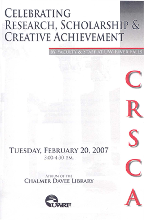# CELEBRATING RESEARCH, SCHOLARSHIP & **CREATIVE ACHIEVEMENT**

*IY FACULTY & STAFF AT UW-RIVER FALLS* 

## TUESDAY, FEBRUARY 20, 2007 3:00-4:30 P.M.

ATRIUM OF THE **CHALMER DAVEE LIBRARY** 





 $\boldsymbol{\varsigma}$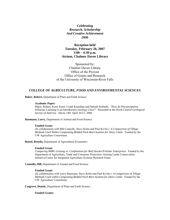*Celebrating Research, Scholarship And Creative Achievement 2006* 

## **Reception held Tuesday, February 20, 2007 3:00 – 4:30 p.m. Atrium, Chalmer Davee Library**

Sponsored by: Chalmer Davee Library Office of the Provost Office of Grants and Research of the University of Wisconsin-River Falls

## *COLLEGE OF AGRICULTURE, FOOD AND ENVIRONMENTAL SCIENCES*

**Baker, Robert,** Department of Plant and Earth Science

#### **Academic Paper:**

Baker, Robert, Kerry Keen, Cyndi Kernahan and Subash Seshadri. "How do Preconceptions Influence Learning in an Introductory Geology Class?" Presented at the *North Central Geological Society of America.* Akron, OH: April 20-21, 2006.

**Baumann, Larry,** Department of Animal and Food Science

## **Funded Grant:**

(In collaboration with Bill Connolly, Steve Kelm and Paul Kivlin.) *A Comparison of Tillage Methods Used Within Composting Bedded Pack Barn Systems for Dairy Cattle*. Funded by the UW Agriculture Consortium.

**Boetel, Brenda,** Department of Agricultural Economics

## **Funded Grant:**

*Comparing MIRG Grazing vs. Confinement for Beef Stocker/Finisher Enterprises*. Funded by the Department of Agriculture, Trade and Consumer Protection: Grazing Lands Conservation Initiative/Center for Integrated Agriculture Systems Research Grant.

**Connolly, Bill,** Department of Animal and Food Science

#### **Funded Grant:**

(In collaboration with Larry Baumann, Steve Kelm and Paul Kivlin.) *A Comparison of Tillage Methods Used within Composting Bedded Pack Barn Systems for Dairy Cattle*. Funded by the UW Agriculture Consortium.

**Cosgrove, Dennis,** Department of Plant and Earth Science

## **Funded Grants:**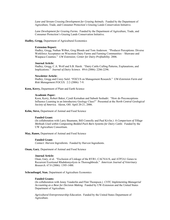*Lane and Stream Crossing Development for Grazing Animals.* Funded by the Department of Agriculture, Trade, and Consumer Protection's Grazing Lands Conservation Initiative.

*Lane Development for Grazing Farms.* Funded by the Department of Agriculture, Trade, and Consumer Protection's Grazing Lands Conservation Initiative.

#### **Hadley, Gregg**, Department of Agricultural Economics

#### **Extension Report:**

Hadley, Gregg, Nathan Wilber, Greg Blonde and Tom Anderson. "Producer Perceptions: Diverse Workforce Acceptance on Wisconsin Dairy Farms and Farming Communities – Shawano and Waupaca Counties." *UW Extension; Center for Dairy Profitability*. 2006.

#### **Journal Article:**

Hadley, Gregg, C.A. Wolf and S.B. Harsh. "Dairy Cattle Culling Patterns, Explanations, and Implications." *Journal of Dairy Science.* 89:6 (2006): 2286-2296.

#### **Newsletter Article:**

Hadley, Gregg and Corey Salzl. "FOCUS on Management Research." *UW-Extension Farm and Risk Management FOCUS.* 2:2 (2006): 7-9.

**Keen, Kerry,** Department of Plant and Earth Science

#### **Academic Paper:**

Keen, Kerry, Robert Baker, Cyndi Kernahan and Subash Seshadri. "How do Preconceptions Influence Learning in an Introductory Geology Class?" Presented at the *North Central Geological Society of America.* Akron, OH: April 20-21, 2006.

**Kelm, Steve,** Department of Animal and Food Science

## **Funded Grant:**

(In collaboration with Larry Baumann, Bill Connolly and Paul Kivlin.) *A Comparison of Tillage Methods Used within Composting Bedded Pack Barn Systems for Dairy Cattle*. Funded by the UW Agriculture Consortium.

**May, Ranee,** Department of Animal and Food Science

#### **Funded Grant:**

*Contact: Harvest Ingredients.* Funded by Harvest Ingredients.

**Onan, Gary**, Department of Animal and Food Science

## **Journal Article:**

Onan, Gary, et al. "Exclusion of Linkage of the RYR1, CACNA1S, and ATP2A1 Genes to Recurrent Exertional Rhabdomyolysis in Thoroughbreds." *American Journal of Veterinary Research.* 67:8 (2006): 1395-1400.

**Schraufnagel, Stan**, Department of Agriculture Economics

#### **Funded Grants:**

(In collaboration with Jenny Vanderlin and Flint Thompson.) *CVTC Implementing Managerial Accounting as a Base for Decision Making*. Funded by UW-Extension and the United States Department of Agriculture.

*Agricultural Entrepreneurship Education*. Funded by the United States Department of Agriculture.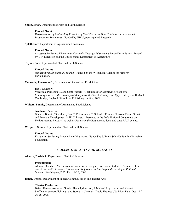**Smith, Brian,** Department of Plant and Earth Science

#### **Funded Grant:**

*Determination of Profitability Potential of New Wisconsin Plum Cultivars and Associated Propagation Techniques*. Funded by UW System Applied Research.

## **Splett, Nate,** Department of Agricultural Economics

#### **Funded Grant:**

*Assessing the Future Educational Curricula Needs for Wisconsin's Large Dairy Farms*. Funded by UW-Extension and the United States Department of Agriculture.

**Taylor, Don,** Department of Plant and Earth Science

#### **Funded Grant:**

*Multicultural Scholarship Program*. Funded by the Wisconsin Alliance for Minority Participation.

**Vasavada, Purnendu C.,** Department of Animal and Food Science

#### **Book Chapter:**

Vasavada, Purnendu C., and Scott Russell. "Techniques for Identifying Foodborne Microorganisms." *Microbiological Analysis of Red Meat, Poultry, and Eggs*. Ed. by Geoff Mead. Cambridge, England: Woodhead Publishing Limited, 2006.

**Walters, Bonnie,** Department of Animal and Food Science

#### **Academic Posters:**

Walters, Bonnie, Timothy Lyden, T. Peterson and T. Schaaf. "Primary Nervous Tissue Growth and Potential Development in 3D Cultures." Presented at the *2006 National Conference on Undergraduate Research* as well as *Posters in the Rotunda* and local and state *RSCA* events.

**Wiegrefe, Susan,** Department of Plant and Earth Science

#### **Funded Grant:**

*Evaluating Suckering Propensity in Viburnums.* Funded by J. Frank Schmidt Family Charitable Foundation.

## *COLLEGE OF ARTS AND SCIENCES*

**Alperin, Davida J.**, Department of Political Science

#### **Presentation:**

Alperin, Davida J. "A Chicken in Every Pot, a Computer for Every Student." Presented at the *American Political Science Association Conference on Teaching and Learning in Political Science*. Washington, D.C.: Feb. 18-20, 2006.

**Baker, Denise,** Department of Speech Communication and Theater Arts

#### **Theater Production:**

Baker, Denise, costumes; Gorden Hedahl, direction; J. Michael Roy, music; and Kenneth Stofferahn, scenery/lighting. *She Stoops to Conquer*. Davis Theatre: UW-River Falls, Oct. 19-21, 26-28, 2006.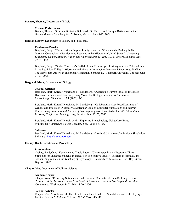#### **Barnett, Thomas,** Department of Music

#### **Musical Performance:**

Barnett, Thomas, Orquesta Sinfonica Del Estado De Mexico and Enrique Batiz, Conductor. *Gustav Mahler's Symphony No. 5.* Toluca, Mexico: June 5-12, 2006.

#### **Bergland, Betty,** Department of History and Philosophy

## **Conference Panelist:**

Bergland, Betty. "The American Empire, Immigration, and Women at the Bethany Indian Mission: Contradictory Positions and Legacies in the Midwestern United States." *Competing Kingdoms: Women, Mission, Nation and American Empire, 1812-1938*. Oxford, England: Apr. 27-29, 2006.

Bergland, Betty. "Orabel Thortvedt's Buffalo River Manuscripts: Re-imagining the Telemarkings in the Red River Valley." *Migration and Memory: Norwegian-American Dimensions*. NAHA: The Norwegian-American Historical Association. Seminar IX. Telemark University College: June 21-23, 2006.

## **Bergland, Mark**, Department of Biology

## **Journal Articles:**

Bergland, Mark, Karen Klyczek and M. Lundeberg. "Addressing Current Issues in Infectious Diseases via Case-based Learning Using Molecular Biology Simulations." *Focus on Microbiology Education.* 13:1 (2006): 2-5.

Bergland, Mark, Karen Klyczek and M. Lundeberg. "Collaborative Case-based Learning of Genetic and Infectious Diseases via Molecular Biology Computer Simulations and Internet Conferencing. *International Journal of Learning*, in press. Presented at the *13th International Learning Conference*, Montego Bay, Jamaica: June 22-25, 2006.

Bergland, Mark, Karen Klyczek, et al. "Exploring Biotechnology Using Case-Based Multimedia." *American Biology Teacher*. 68:2 (2006): 81-86.

#### **Software:**

Bergland, Mark, Karen Klyczek and M. Lundeberg. *Case It v5.03.* Molecular Biology Simulation Software. http://caseit.uwrf.edu.

#### **Caskey, Brad,** Department of Psychology

#### **Presentation:**

Caskey, Brad, Cyndi Kernahan and Travis Tubré. "Controversy in the Classroom: Three Strategies for Engaging Students in Discussion of Sensitive Issues." Program presented at the *Annual Conference on the Teaching of Psychology*. University of Wisconsin-Green Bay, Green Bay, WI: 2006.

**Chapin, Wes,** Department of Political Science

#### **Academic Paper:**

 Chapin, Wes. "Resolving Nationalistic and Domestic Conflicts: A State Building Exercise." Presented at the 3rd Annual *American Political Science Association Teaching and Learning Conference*. Washington, D.C.: Feb. 18-20, 2006.

## **Journal Article:**

Chapin, Wes, Amy Lovecraft, David Parker and David Sadler. "Simulations and Role Playing in Political Science." *Political Science*. 39:3 (2006): 540-541.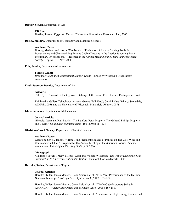#### **Derfler, Steven,** Department of Art

#### **CD Rom:**

Derfler, Steven.*Egypt: An Eternal Civilization.* Educational Resources, Inc., 2006.

#### **Dooley, Mathew**, Department of Geography and Mapping Sciences

## **Academic Poster:**

Dooley, Mathew, and LuAnn Wandsnider. "Evaluation of Remote Sensing Tools for Documenting and Characterizing Terrace Cobble Deposits in the Interior Wyoming Basin: Preliminary Investigations." Presented at the *Annual Meeting of the Plains Anthropological Society*. Topeka, KS: Nov. 2006.

## **Ellis, Sandra,** Department of Journalism

#### **Funded Grant:**

*Broadcast Journalism Educational Support Grant*. Funded by Wisconsin Broadcasters Association.

#### **Ficek-Swenson, Bernice,** Department of Art

#### **Artworks:**

Title: *Pyre*. Suite of 12 Photogravure Etchings; Title: *Vestal Fire.* Framed Photogravure Print.

Exhibited at Gallery Tehnohoros: Athens, Greece (Fall 2006); Cervini Haas Gallery: Scottsdale, AZ (Fall 2006); and the University of Wisconsin-Marshfield (Winter 2007).

## **Ghenciu, Ioana,** Department of Mathematics

## **Journal Article**:

Ghenciu, Ioana and Paul Lewis. "The Dunford-Pettis Property, The Gelfand-Phillips Property, and L-Sets." *Colloquium Mathematicum*. 106 (2006): 311-324.

#### **Gladstone-Sovell, Tracey,** Department of Political Science

#### **Academic Paper:**

Gladstone-Sovell, Tracey. "Prime Time Presidents: Images of Politics on The West Wing and Commander in Chief." Prepared for the Annual Meeting of the *American Political Science Association*. Philadelphia, PA: Aug. 30-Sept. 3, 2006.

## **Monograph:**

 Gladstone-Sovell, Tracey, Michael Gizzi and William Wilkerson. *The Web of Democracy: An Introduction to American Politics, 2nd Edition*. Belmont, CA: Wadsworth, 2008.

## **Hardtke, Rellen**, Department of Physics

#### **Journal Articles:**

Hardtke, Rellen, James Madsen, Glenn Spiczak, et al. "First Year Performance of the IceCube Neutrino Telescope." *Astroparticle Physics.* 26:3 (2006): 155-173.

Hardtke, Rellen, James Madsen, Glenn Spiczak, et al. "The IceCube Prototype String in AMANDA." *Nuclear Instruments and Methods.* A556 (2006): 169-181.

Hardtke, Rellen, James Madsen, Glenn Spiczak, et al. "Limits on the High–Energy Gamma and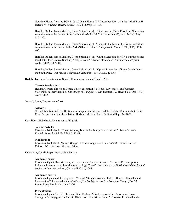Neutrino Fluxes from the SGR 1806-20 Giant Flare of 27 December 2004 with the AMANDA-II Detector." *Physical Review Letters*. 97:22 (2006): 101-106.

Hardtke, Rellen, James Madsen, Glenn Spiczak, et al. "Limits on the Muon Flux from Neutralino Annihilations at the Center of the Earth with AMANDA." *Astroparticle Physics.* 26:2 (2006): 129-139.

Hardtke, Rellen, James Madsen, Glenn Spiczak, et al. "Limits to the Muon Flux from Neutralino Annihilations in the Sun with the AMANDA Detector." *Astroparticle Physics*. 24 (2006): 459- 466.

Hardtke, Rellen, James Madsen, Glenn Spiczak, et al. "On the Selection of AGN Neutrino Source Candidates for a Source Stacking Analysis with Neutrino Telescopes." *Astroparticle Physics.*  26:4-5 (2006): 282-300.

Hardtke, Rellen, James Madsen, Glenn Spiczak, et al. "Optical Properties of Deep Glacial Ice at the South Pole." *Journal of Geophysical Research*. 111:D13203 (2006).

#### **Hedahl, Gorden,** Department of Speech Communication and Theater Arts

#### **Theater Production:**

Hedahl, Gorden, direction; Denise Baker, costumes; J. Michael Roy, music; and Kenneth Stofferahn, scenery/lighting. *She Stoops to Conquer*. Davis Theatre: UW-River Falls, Oct. 19-21, 26-28, 2006.

## **Jermal, Lynn**, Department of Art

#### **Artwork:**

(In collaboration with the Destination Imagination Program and the Hudson Community.) Title: *River Bench*. Sculpture Installation: Hudson Lakefront Park. Dedicated Sept. 24, 2006.

#### **Karolides, Nicholas J.,** Department of English

#### **Journal Article:**

Karolides, Nicholas J. "Three Authors, Ten Books: Interpretive Reviews." *The Wisconsin English Journal.* 48:2 (Fall 2006): 32-41.

#### **Monograph:**

Karolides, Nicholas J. *Banned Books: Literature Suppressed on Political Grounds, Revised Edition*. NY: Facts on File, Inc., 2006.

## **Kernahan, Cyndi,** Department of Psychology

#### **Academic Paper:**

Kernahan, Cyndi, Robert Baker, Kerry Keen and Subash Seshadri. "How do Preconceptions Influence Learning in an Introductory Geology Class?" Presented at the *North Central Geological Society of America.* Akron, OH: April 20-21, 2006.

#### **Academic Poster:**

Kernahan, Cyndi and K. Bengtsson. "Racial Attitudes Now and Later: Effects of Empathy and Presentation." Presented at the *Meeting of the Society for the Psychological Study of Social Issues*, Long Beach, CA: June 2006.

## **Presentation:**

Kernahan, Cyndi, Travis Tubré, and Brad Caskey. "Controversy in the Classroom: Three Strategies for Engaging Students in Discussion of Sensitive Issues." Program Presented at the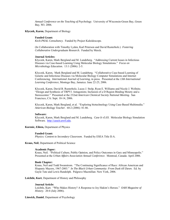*Annual Conference on the Teaching of Psychology*. University of Wisconsin-Green Bay, Green Bay, WI: 2006.

## **Klyczek, Karen**, Department of Biology

## **Funded Grant:**

*Keck-PKAL Consultancy*. Funded by Project Kaleidoscope.

(In Collaboration with Timothy Lyden, Karl Peterson and David Rusterholz.) *Fostering Collaborative Undergraduate Research.* Funded by Merck.

## **Journal Articles:**

Klyczek, Karen, Mark Bergland and M. Lundeberg. "Addressing Current Issues in Infectious Diseases via Case-based Learning Using Molecular Biology Simulations." *Focus on Microbiology Education.* 13:1 (2006): 2-5.

Klyczek, Karen, Mark Bergland and M. Lundeberg. "Collaborative Case-based Learning of Genetic and Infectious Diseases via Molecular Biology Computer Simulations and Internet Conferencing. *International Journal of Learning*, in press. Presented at the *13th International Learning Conference*, Montego Bay, Jamaica: June 22-25, 2006.

Klyczek, Karen, David B. Rusterholz, Lucas J. Stolp, Ryan E. Williams and Nicole J. Wellnitz. "Design and Synthesis of TRPV1 Antagonists; Inclusion of a D Region Binding Moiety and a Stereocenter." Presented at the 232nd *American Chemical Society National Meeting*. San Francisco, CA: Sept. 10-14, 2006.

Klyczek, Karen, Mark Bergland, et al. "Exploring biotechnology Using Case-Based Multimedia." *American Biology Teacher*. 68:2 (2006): 81-86.

## **Software:**

Klyczek, Karen, Mark Bergland and M. Lundeberg. *Case It v5.03.* Molecular Biology Simulation Software. http://caseit.uwrf.edu.

## **Korenic, Eileen,** Department of Physics

#### **Funded Grant:**

*Physics: Content to Secondary Classroom*. Funded by ESEA Title II-A.

#### **Kraus, Neil**, Department of Political Science

## **Academic Paper:**

Kraus, Neil. "Political Culture, Public Opinion, and Policy Outcomes in Gary and Minneapolis." Presented at the *Urban Affairs Association Annual Conference*. Montreal, Canada: April 2006.

## **Book Chapter:**

Kraus, Neil and Todd Swanstrom. "The Continuing Significance of Race: African American and Hispanic Mayors, 1967-2003." *In The Black Urban Community: From Dusk till Dawn*. Ed. by Gayle Tate and Lewis Randolph. Palgrave Macmillan: New York, 2006.

**Leichtle, Kurt**, Department of History and Philosophy

## **Journal Article:**

Leichtle, Kurt. "Who Makes History? A Response to Joy Hakim's Heroes." *OAH Magazine of History*. 20:4 (July 2006).

## **Linwick, Daniel**, Department of Psychology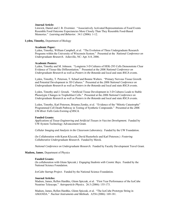#### **Journal Article:**

Linwick, Daniel and J. B. Overmier. "Associatively Activated Representations of Food Events Resemble Food Outcome Expectancies More Closely Than They Resemble Food-Based Memories." *Learning and Behavior.* 34:1 (2006): 1-12.

#### **Lyden, Timothy,** Department of Biology

## **Academic Paper:**

Lyden, Timothy, William Campbell, et al. "The Evolution of Three Undergraduate Research Programs within the University of Wisconsin System." Presented at the *National Conference on Undergraduate Research.* Asheville, NC: Apr. 6-8, 2006.

#### **Academic Posters:**

Lyden, Timothy and M. Johnson. "Longterm 3-D Cultures of HEK-293 Cells Demonstrate Clear Evidence of Tissue-like Differentiation." Presented at the *2006 National Conference on Undergraduate Research* as well as *Posters in the Rotunda* and local and state *RSCA* events.

Lyden, Timothy, T. Peterson, T. Schaaf and Bonnie Walters. "Primary Nervous Tissue Growth and Potential Development in 3D Cultures." Presented at the *2006 National Conference on Undergraduate Research* as well as *Posters in the Rotunda* and local and state *RSCA* events.

Lyden, Timothy and J. Grosek. "Artificial Tissue Development in 3-D Cultures Leads to Stable Phenotypic Changes in Trophoblast Cells." Presented at the *2006 National Conference on Undergraduate Research* as well as *Posters in the Rotunda* and local and state *RSCA* events.

Lyden, Timothy, Karl Peterson, Brianna Zemke, et al. "Evidence of the "Mitotic Catastrophe" Programmed Cell Death Pathway in Testing of Synthetic Compounds." Presented at the *2006 UW-River Falls Gala Evening of RSCA.* 

#### **Funded Grants:**

Applications of Tissue Engineering and Artificial Tissues in Vaccine Development. Funded by UW-System Technology Advancement Grant.

*Cellular Imaging and Analysis in the Classroom Laboratory.* Funded by the UW Foundation.

(In Collaboration with Karen Klyczek, David Rusterholz and Karl Peterson.) *Fostering Collaborative Undergraduate Research.* Funded by Merck.

 *National Conference on Undergraduate Research.* Funded by Faculty Development Travel Grant.

## **Madsen, James**, Department of Physics

#### **Funded Grants:**

(In collaboration with Glenn Spiczak.) *Engaging Students with Cosmic Rays.* Funded by the National Science Foundation.

*IceCube Startup Project*. Funded by the National Science Foundation.

#### **Journal Articles:**

Madsen, James, Rellen Hardtke, Glenn Spiczak, et al. "First Year Performance of the IceCube Neutrino Telescope." *Astroparticle Physics.* 26:3 (2006): 155-173.

Madsen, James, Rellen Hardtke, Glenn Spiczak, et al. "The IceCube Prototype String in AMANDA." *Nuclear Instruments and Methods.* A556 (2006): 169-181.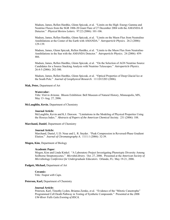Madsen, James, Rellen Hardtke, Glenn Spiczak, et al. "Limits on the High–Energy Gamma and Neutrino Fluxes from the SGR 1806-20 Giant Flare of 27 December 2004 with the AMANDA-II Detector." *Physical Review Letters*. 97:22 (2006): 101-106.

Madsen, James, Rellen Hardtke, Glenn Spiczak, et al. "Limits on the Muon Flux from Neutralino Annihilations at the Center of the Earth with AMANDA." *Astroparticle Physics.* 26:2 (2006): 129-139.

Madsen, James, Glenn Spiczak, Rellen Hardtke, et al. "Limits to the Muon Flux from Neutralino Annihilations in the Sun with the AMANDA Detector." *Astroparticle Physics*. 24 (2006): 459- 466.

Madsen, James, Rellen Hardtke, Glenn Spiczak, et al. "On the Selection of AGN Neutrino Source Candidates for a Source Stacking Analysis with Neutrino Telescopes." *Astroparticle Physics.* 26:4-5 (2006): 282-300.

Madsen, James, Rellen Hardtke, Glenn Spiczak, et al. "Optical Properties of Deep Glacial Ice at the South Pole." *Journal of Geophysical Research*. 111:D13203 (2006).

#### **Mak, Peter,** Department of Art

#### **Watercolor:**

Title: *Visit to Arizona*. Bloom Exhibition: Bell Museum of Natural History, Minneapolis, MN, May 13–Aug. 27, 2006.

#### **McLaughlin, Kevin**, Department of Chemistry

#### **Journal Article:**

McLaughlin, Kevin and K.J. Dawson. "Limitations in the Modeling of Physical Properties Using the Hosoya Index." *Abstracts of Papers of the American Chemical Society.* 231 (2006): 188.

#### **Marchand, Daniel**, Department of Chemistry

## **Journal Article:**

Marchand, Daniel, U.D. Neue and L. R. Snyder. "Peak Compression in Reversed-Phase Gradient Elution." *Journal of Chromatography A.* 1111:1 (2006): 32-39.

#### **Mogen, Kim**, Department of Biology

#### **Academic Paper**:

Mogen, Kim and Linda Kinkel. "A Laboratory Project Investigating Phenotypic Diversity Among Soilborne Streptomycetes." *MicrobeLibrary*. Oct. 27, 2006. Presented at the *American Society of Microbiology Conference for Undergraduate Educators*. Orlando, FL: May 19-21, 2006.

## **Padgett, Michael,** Department of Art

## **Ceramic:**

Title: *Teapot with Cups.* 

#### **Peterson, Karl,** Department of Chemistry

#### **Journal Article:**

Peterson, Karl, Timothy Lyden, Brianna Zemke, et al. "Evidence of the "Mitotic Catastrophe" Programmed Cell Death Pathway in Testing of Synthetic Compounds." Presented at the *2006 UW-River Falls Gala Evening of RSCA.*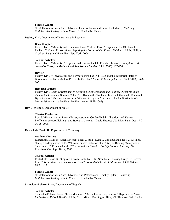#### **Funded Grant:**

(In Collaboration with Karen Klyczek, Timothy Lyden and David Rusterholz.) *Fostering Collaborative Undergraduate Research.* Funded by Merck.

#### **Petkov, Kiril**, Department of History and Philosophy

## **Book Chapter:**

Petkov, Kiril. "Mobility and Resentment in a World of Flux: Arrogance in the Old French Fabliaux." *Comic Provocations: Exposing the Corpus of Old French Fabliaux.* Ed. by Holly A. Crocker. Palgrave Macmillan: New York, 2006.

#### **Journal Articles:**

Petkov, Kiril. "Mobility, Arrogance, and Class in the Old French Fabliaux." *Exemplaria – A Journal of Theory in Medieval and Renaissance Studies.* 18:1 (2006): 137-174.

#### **Review:**

Petkov, Kiril. "Universalism and Territorialism: The Old Reich and the Territorial States of Germany in the Early Modern Period, 1495-1806." *Sixteenth Century Journal.* 37:1 (2006): 263- 265.

#### **Research Project:**

Petkov, Kiril. *Latin Christendom in Levantine Eyes: Emotions and Political Discourse in the Time of the Crusades:* Summer 2006. "To Disdain the Truth and Look at Others with Contempt: Byzantines and Muslims on Western Pride and Arrogance." Accepted for Publication in *Al-Masaq: Islam and the Medieval Mediterranean*. 19:ii (2007).

#### **Roy, J. Michael,** Department of Music

#### **Theater Production:**

Roy, J. Michael, music; Denise Baker, costumes; Gorden Hedahl, direction; and Kenneth Stofferahn, scenery/lighting. *She Stoops to Conquer*. Davis Theatre: UW-River Falls, Oct. 19-21, 26-28, 2006.

#### **Rusterholz, David B.,** Department of Chemistry

## **Academic Poster:**

Rusterholz, David B., Karen Klyczek, Lucas J. Stolp, Ryan E. Williams and Nicole J. Wellnitz. "Design and Synthesis of TRPV1 Antagonists; Inclusion of a D Region Binding Moiety and a Stereocenter." Presented at the 232nd *American Chemical Society National Meeting*. San Francisco, CA: Sept. 10-14, 2006.

#### **Journal Article:**

Rusterholz, David B. "Capsaicin, from Hot to Not; Can New Pain-Relieving Drugs Be Derived from This Substance Known to Cause Pain." *Journal of Chemical Education*. 83:12 (2006): 1809-1815.

## **Funded Grant:**

(In Collaboration with Karen Klyczek, Karl Peterson and Timothy Lyden.) *Fostering Collaborative Undergraduate Research.* Funded by Merck.

#### **Schneider-Rebozo, Lissa**, Department of English

## **Journal Article:**

Schneider-Rebozo, Lissa. "Love Medicine: A Metaphor for Forgiveness." Reprinted in *Novels for Students: E-Book Bundle.* Ed. by Mark Milne. Farmington Hills, MI: Thomson Gale Books,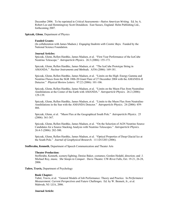December 2006. To be reprinted in *Critical Assessments—Native American Writing*. Ed. by A. Robert Lee and Hemmingway Scott Donaldson. East Sussex, England: Helm Publishing Ltd., forthcoming 2007.

**Spiczak, Glenn**, Department of Physics

#### **Funded Grants:**

(In collaboration with James Madsen.) *Engaging Students with Cosmic Rays.* Funded by the National Science Foundation.

#### **Journal Articles:**

Spiczak, Glenn, Rellen Hardtke, James Madsen, et al. "First Year Performance of the IceCube Neutrino Telescope." *Astroparticle Physics.* 26:3 (2006): 155-173.

Spiczak, Glenn, Rellen Hardtke, James Madsen, et al. "The IceCube Prototype String in AMANDA." *Nuclear Instruments and Methods.* A556 (2006): 169-181.

Spiczak, Glenn, Rellen Hardtke, James Madsen, et al. "Limits on the High–Energy Gamma and Neutrino Fluxes from the SGR 1806-20 Giant Flare of 27 December 2004 with the AMANDA-II Detector." *Physical Review Letters*. 97:22 (2006): 101-106.

Spiczak, Glenn, Rellen Hardtke, James Madsen, et al. "Limits on the Muon Flux from Neutralino Annihilations at the Center of the Earth with AMANDA." *Astroparticle Physics.* 26:2 (2006): 129-139.

Spiczak, Glenn, Rellen Hardtke, James Madsen, et al. "Limits to the Muon Flux from Neutralino Annihilations in the Sun with the AMANDA Detector." *Astroparticle Physics*. 24 (2006): 459- 466.

Spiczak, Glenn, et al. "Muon Flux at the Geographical South Pole." *Astroparticle Physics*. 25 (2006): 361-367.

Spiczak, Glenn, Rellen Hardtke, James Madsen, et al. "On the Selection of AGN Neutrino Source Candidates for a Source Stacking Analysis with Neutrino Telescopes." *Astroparticle Physics.* 26:4-5 (2006): 282-300.

Spiczak, Glenn, Rellen Hardtke, James Madsen, et al. "Optical Properties of Deep Glacial Ice at the South Pole." *Journal of Geophysical Research*. 111:D13203 (2006).

#### **Stofferahn, Kenneth**, Department of Speech Communication and Theater Arts

## **Theater Production:**

Stofferahn, Kenneth, scenery/lighting; Denise Baker, costumes; Gorden Hedahl, direction; and J. Michael Roy, music. *She Stoops to Conquer*. Davis Theatre: UW-River Falls, Oct. 19-21, 26-28, 2006.

#### **Tubre, Travis,** Department of Psychology

#### **Book Chapter:**

Tubré, Travis, et al. "General Models of Job Performance: Theory and Practice. In *Performance Measurement: Current Perspectives and Future Challenges.* Ed. by W. Bennett, Jr., et al. Mahwah, NJ: LEA, 2006.

## **Journal Article:**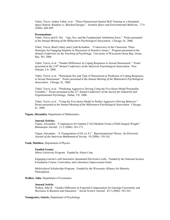Tubré, Travis, Amber Tubré, et al. "Three-Dimensional Spatial Skill Training in a Simulated Space Station: Random vs. Blocked Designs." *Aviation Space and Environmental Medicine.* 77:4 (2006): 404-409.

#### **Presentations:**

Tubré, Travis and D. Nei. "Age, Sex, and the Fundamental Attribution Error." Poster presented at the *Annual Meeting of the Midwestern Psychological Association*. Chicago, IL: 2006.

Tubré, Travis, Brad Caskey and Cyndi Kernahan. "Controversy in the Classroom: Three Strategies for Engaging Students in Discussion of Sensitive Issues." Program presented at the *Annual Conference on the Teaching of Psychology*. University of Wisconsin-Green Bay, Green Bay, WI: 2006.

Tubré, Travis, et al. "Gender Differences in Coping Responses to Sexual Harassment."Poster presented at the *114th Annual Conference of the American Psychological Association*. New Orleans, LA: 2006.

Tubré, Travis, et al. "Participant Sex and Type of Harassment as Predictors of Coping Responses to Sexual Harassment." Poster presented at the *Annual Meeting of the Midwestern Psychological Association.* Chicago, IL: 2006.

Tubré, Travis, et al. "Predicting Aggressive Driving Using the Five-factor Model Personality Variables."Poster presented at the *21st Annual Conference of the Society for Industrial and Organizational Psychology*. Dallas, TX: 2006.

Tubré, Travis, et al. "Using the Five-factor Model to Predict Aggressive Driving Behavior." Poster presented at the *Annual Meeting of the Midwestern Psychological Association*. Chicago, IL: 2006.

#### **Tupan, Alexandru**, Department of Mathematics

#### **Journal Articles:**

Tupan, Alexandru. "Congruences for Gamma Γ1(4)-Modular Forms of Half-integral Weight." *Ramanujan Journal.* 11:2 (2006): 165-173.

Tupan, Alexandru. "A Triangulation of GL (*n*, F)." *Representational Theory: An Electronic Journal of the American Mathematical Society.* 10 (2006): 158-163.

#### **Vonk, Matthew,** Department of Physics

#### **Funded Grants:**

*Altera University Program*. Funded by Altera Corp.

*Engaging Learners with Innovative Automated Electronics Labs*. Funded by the National Science Foundation Course, Curriculum, and Laboratory Improvement Grant.

*Multicultural Scholarship Program*. Funded by the Wisconsin Alliance for Minority Participation.

#### **Walker, John**, Department of Economics

#### **Journal Article:**

Walker, John R. "Gender Difference in Expected Compensation for Earnings Uncertainty and Skewness in Business and Education." *Social Science Journal.* 43:3 (2006): 343-363.

**Youngcourt, Satoris,** Department of Psychology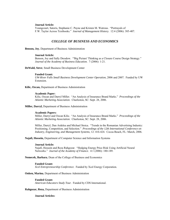#### **Journal Article:**

Youngcourt, Satoris, Stephanie C. Payne and Kristen M. Watrous. "Portrayals of F.W. Taylor Across Textbooks." *Journal of Management History.* 12:4 (2006): 385-407.

## *COLLEGE OF BUSINESS AND ECONOMICS*

**Benson, Joy**, Department of Business Administration

## **Journal Article:**

Benson, Joy and Sally Dresdow. "'Big Picture' Thinking as a Closure Course Design Strategy." *Journal of the Academy of Business Education.* 7 (2006): 1-21.

**DeWald, Steve**, Small Business Development Center

#### **Funded Grant:**

*UW-River Falls Small Business Development Center Operation*, 2006 and 2007. Funded by UW Extension.

**Kilic, Ozcan,** Department of Business Administration

#### **Academic Paper:**

Kilic, Ozcan and Darryl Miller. "An Analysis of Insurance Brand Marks." *Proceedings of the Atlantic Marketing Association*. Charleston, SC: Sept. 28, 2006.

**Miller, Darryl,** Department of Business Administration

## **Academic Papers:**

Miller, Darryl and Ozcan Kilic. "An Analysis of Insurance Brand Marks." *Proceedings of the Atlantic Marketing Association*. Charleston, SC: Sept. 28, 2006.

Miller, Darryl, Dan Ardelea and Michael Stoica. "Trends in the Romanian Advertising Industry: Positioning, Competition, and Selection." *Proceedings of the 12th International Conference on Industry, Engineering, and Management Systems*, 12: 416-424. Cocoa Beach, FL: March, 2006.

**Najafi, Hossein,** Department of Computer Science and Information Systems

#### **Journal Article:**

Najafi, Hossein and Reza Rahgozar. "Hedging Energy Price Risk Using Artificial Neural Networks." *Journal of the Academy of Finance*. 4:1 (2006): 180-189.

**Nemecek, Barbara**, Dean of the College of Business and Economics

#### **Funded Grant:**

*Xcel Entrepreneurship Conference*. Funded by Xcel Energy Corporation.

**Onken, Marina**, Department of Business Administration

#### **Funded Grant:**

*American Educators Study Tour*. Funded by CDS International.

## **Rahgozar, Reza,** Department of Business Administration

#### **Journal Articles:**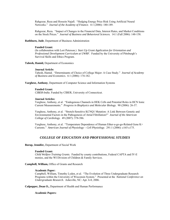Rahgozar, Reza and Hossein Najafi. "Hedging Energy Price Risk Using Artificial Neural Networks." *Journal of the Academy of Finance*. 4:1 (2006): 180-189.

Rahgozar, Reza. "Impact of Changes in the Financial Data, Interest Rates, and Market Conditions on the Stock Prices." *Journal of Business and Behavioral Sciences.* 14:1 (Fall 2006): 148-158.

#### **Rathburn, Jude**, Department of Business Administration

## **Funded Grant:**

(In collaboration with Lori Peterson.) *Start Up Grant Application for Orientation and Professional Development Curriculum at UWRF*. Funded by the University of Pittsburgh's Survival Skills and Ethics Program.

#### **Tabesh, Hamid,** Department of Economics

#### **Journal Article:**

Tabesh, Hamid. "Determinants of Choice of College Major: A Case Study." *Journal of Academy of Business and Economics.* 6:1 (2006): 174-182.

**Varghese, Anthony**, Department of Computer Science and Information Systems

#### **Funded Grant:**

*CIBER-India*. Funded by CIBER, University of Connecticut.

#### **Journal Articles:**

Varghese, Anthony, et al. "Endogenous Channels in HEK Cells and Potential Roles in HCN Ionic Current Measurements." *Progress in Biophysics and Molecular Biology.* 90 (2006): 26-37.

Varghese, Anthony, et al. "Stretch-Sensitive KCNQ1 Mutation: A Link Between Genetic and Environmental Factors in the Pathogenesis of Atrial Fibrillation?" *Journal of the American College of Cardiology.* 49 (2007): 578-586.

Varghese, Anthony, et al. "Temperature Dependence of Human Ether-a-go-go-Related Gene K+ Currents." *American Journal of Physiology – Cell Physiology*. 291:1 (2006): c165-c175.

## *COLLEGE OF EDUCATION AND PROFESSIONAL STUDIES*

### **Borup, Jennifer,** Department of Social Work

#### **Funded Grant:**

*Child Welfare Training Grants*. Funded by county contributions, Federal CAPTA and IV-E monies, and the WI Division of Children & Family Services.

**Campbell, William,** Office of Grants and Research

## **Academic Paper:**

Campbell, William, Timothy Lyden, et al. "The Evolution of Three Undergraduate Research Programs within the University of Wisconsin System." Presented at the *National Conference on Undergraduate Research.* Asheville, NC: Apr. 6-8, 2006.

**Culpepper, Dean O.,** Department of Health and Human Performance

### **Academic Papers:**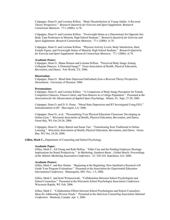Culpepper, Dean O. and Lorraine Killion. "Body Dissatisfaction in Young Adults: A Reversal Theory Perspective." *Research Quarterly for Exercise and Sport Supplement: Research Consortium Abstracts.* 77:1 (2006): A-76.

Culpepper, Dean O. and Lorraine Killion. "Overweight Status as a Determinant for Opposite Sex Body Type Preference in Minority High School Students." *Research Quarterly for Exercise and Sport Supplement*: *Research Consortium Abstracts*.77:1 (2006): A-78.

Culpepper, Dean O. and Lorraine Killion. "Physical Activity Levels, Body Satisfaction, Ideal Female Figure, and Overweight Status of Minority High School Students." *Research Quarterly for Exercise and Sport Supplement: Research Consortium Abstracts*. 77:1 (2006): A-79.

#### **Academic Poster:**

Culpepper, Dean O., Shana Henson and Lorraine Killion. "Perceived Body Image Among Collegiate Dancers: A Distorted Image?" *Texas Association of Health, Physical Education, Recreation, and Dance*. Fort Worth, TX: 2006.

#### **Dissertation:**

Culpepper, Dean O. *Mood State Depressed Individuals from a Reversal Theory Perspective.* Dissertation. University of Houston: 2006.

#### **Presentations:**

Culpepper, Dean O. and Lorraine Killion. "A Comparison of Body Image Perception for Female Competitive Dancers, Fitness Cohort, and Non-Dancers in a College Population." Presented at the *Association for the Advancement of Applied Sport Psychology*. Miami, FL: Sept. 27-30, 2006.

Culpepper, Dean O. and D. G. Pease. "Mood State Depression and RT Investigated Using EEG." *Instrumentation in RT*. Shreveport, LA: 2006.

Culpepper, Dean O., et al. "Personalizing Your Physical Education Classroom: Developing an Online Gym*." Wisconsin Association of Health, Physical Education, Recreation, and Dance*. Green Bay, WI: Oct 24-26, 2006.

Culpepper, Dean O., Betsy Barrett and Susan Tarr. "Transitioning from Traditional to Online Learning." *Wisconsin Association of Health, Physical Education, Recreation, and Dance.* Green Bay, WI: Oct. 24-26, 2006.

**Gillen, Mark C.,** Department of Counseling and School Psychology

#### **Academic Paper:**

Gillen, Mark C., Ed Chung and Ruth McKay. "Elder Care and the Pending Employee Shortage: Implications for Retail Productivity." In *Marketing: Southern Roots…Global Reach: Proceedings of the Atlantic Marketing Association Conference*. 22: 320-324. Statesboro, GA: 2006.

#### **Academic Posters:**

Gillen, Mark C. and Roy Hunter. "Beginning at the Beginning: How Qualitative Research will Guide Your Program Evaluations." Presented at the *Association for Experiential Education International Conference*. Minneapolis, MN: Nov. 1-5, 2006.

Gillen, Mark C. and Scott Woitaszewski. "Collaboration Between School Psychologists and School Counselors." Presented at the *Wisconsin School Psychologist Association Conference.* Wisconsin Rapids, WI: Feb. 2006.

Gillen, Mark C. "Collaboration Efforts between School Psychologists and School Counselors: Ideas for Addressing Diverse Needs." Presented at the *American Counseling Association National Conference.* Montreal, Canada: Apr. 1, 2006.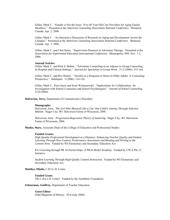Gillen, Mark C. "Gender is Not the Issue: 18 to 40 Year Old Care Providers for Aging Family Members." Presented at the *American Counseling Association National Conference*. Montreal, Canada: Apr. 2, 2006.

Gillen, Mark C. "An Interactive Discussion of Research on Aging and Development Across the Lifespan." Presented at the *American Counseling Association National Conference*. Montreal, Canada: Apr. 3, 2006.

Gillen, Mark C. and Clint Simic. "Supervision Practices in Adventure Therapy. Presented at the *Association for Experiential Education International Conference*. Minneapolis, MN: Nov. 1-5, 2006.

## **Journal Articles:**

Gillen, Mark C. and Rick S. Balkin. "Adventure Counseling as an Adjunct to Group Counseling in Hospital and Clinical Settings." *Journal for Specialists in Group Work*. 31:2 (2006): 153-164.

Gillen, Mark C. and Roy Hunter. "Alcohol as a Response to Stress in Older Adults: A Counseling Perspective." *Adultspan.* 5 (2006): 114-126.

Gillen, Mark C., Pam Guess and Scott Woitaszewski. "Implications for Collaboration: An Investigation with School Counselors and School Psychologists." *Journal of School Counseling*. 4:24 (2006).

**Halvorson, Jerry,** Department of Communicative Disorders

#### **Monographs:**

Halvorson, Jerry. *The Girl Who Meowed Like a Cat: One Child's Journey Through Selective Mutism*. Hager City, WI: Halvorson Farms of Wisconsin, 2006.

Halvorson, Jerry. *Progression-Regression Theory of Stuttering*. Hager City, WI: Halvorson Farms of Wisconsin, 2006.

**Manke, Mary,** Associate Dean of the College of Education and Professional Studies

#### **Funded Grants:**

*High Quality Professional Development at a Distance: Enhancing Teacher Quality and Student Learning Through New Content, Performance Assessment and Reading and Writing in the Content Area*. Funded by WI-Elementary and Secondary Education Act.

*K12 Learning through PK 16 Partnerships: A PK16 Model Academy*. Funded by UW-S PK-12 Initiative.

*Student Learning Through High Quality Content Instruction*. Funded by WI-Elementary and Secondary Education Act.

#### **Matthys, Minda,** C.H.I.L.D. Center

## **Funded Grant:**

*The C.H.I.L.D. Center*. Funded by the AnnMarie Foundation.

#### **Scheurman, Geoffrey,** Department of Teacher Education

**Guest Editor:**  *OAH Magazine of History*. 20:4 (July 2006).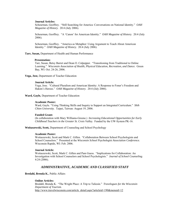## **Journal Articles:**

Scheurman, Geoffrey. "Still Searching for America: Conversations on National Identity." *OAH Magazine of History*. 20:4 (July 2006).

Scheurman, Geoffrey. "A 'Canon' for American Identity." *OAH Magazine of History.* 20:4 (July 2006).

Scheurman, Geoffrey. "America as Metaphor: Using Argument to Teach About American Identity." *OAH Magazine of History*. 20:4 (July 2006).

**Tarr, Susan,** Department of Health and Human Performance

#### **Presentation:**

Tarr, Susan, Betsy Barret and Dean O. Culpepper. "Transitioning from Traditional to Online Learning." *Wisconsin Association of Health, Physical Education, Recreation, and Dance.* Green Bay, WI: Oct. 24-26, 2006.

#### **Vega, Jose,** Department of Teacher Education

#### **Journal Article:**

Vega, Jose. "Cultural Pluralism and American Identity: A Response to Foner's Freedom and Hakim's Heroes." *OAH Magazine of History*. 20:4 (July 2006).

**Ward, Gayle,** Department of Teacher Education

## **Academic Poster:**

Ward, Gayle. "Using Thinking Skills and Inquiry to Support an Integrated Curriculum." *Shih Chien University.* Taipei, Taiwan: August 19, 2006.

#### **Funded Grant:**

(In collaboration with Mary Williams-Greene.) *Increasing Educational Opportunities for Early Childhood Teachers in the Greater St. Croix Valley.* Funded by the UW-System PK-16.

**Woitaszewski, Scott,** Department of Counseling and School Psychology

#### **Academic Poster:**

Woitaszewski, Scott and Mark C. Gillen. "Collaboration Between School Psychologists and School Counselors." Presented at the *Wisconsin School Psychologist Association Conference.* Wisconsin Rapids, WI: Feb. 2006.

#### **Journal Article:**

Woitaszewski, Scott, Mark C. Gillen and Pam Guess. "Implications for Collaboration: An Investigation with School Counselors and School Psychologists." *Journal of School Counseling*. 4:24 (2006).

## *ADMINISTRATIVE, ACADEMIC AND CLASSIFIED STAFF*

#### **Bredahl, Brenda K.**, Public Affairs

#### **Online Articles:**

Bredahl, Brenda K. "The Wright Place: A Trip to Taliesin." *Travelogues for the Wisconsin Department of Tourism.* http://www.travelwisconsin.com/article\_detail.aspx?articleid=190&menuid=12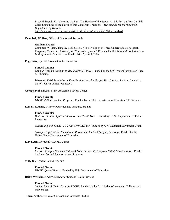Bredahl, Brenda K. "Savoring the Past: The Heyday of the Supper Club is Past but You Can Still Catch Something of the Flavor of this Wisconsin Tradition." *Travelogues for the Wisconsin Department of Tourism.* http://www.travelwisconsin.com/article\_detail.aspx?articleid=172&menuid=67

## **Campbell, William,** Office of Grants and Research

## **Academic Paper:**

Campbell, William, Timothy Lyden, et al. "The Evolution of Three Undergraduate Research Programs Within the University of Wisconsin System." Presented at the *National Conference on Undergraduate Research*. Asheville, NC: Apr. 6-8, 2006.

**Fry, Blake,** Special Assistant to the Chancellor

#### **Funded Grants:**

*Campus Reading Seminar on Racial/Ethnic Topics*. Funded by the UW-System Institute on Race & Ethnicity.

*Wisconsin K-16 AmericCorps Vista Service-Learning Project Host Site Application*. Funded by the Wisconsin Campus Compact.

**George, Phil,** Director of the Academic Success Center

#### **Funded Grant:**

*UWRF McNair Scholars Program*. Funded by the U.S. Department of Education TRIO Grant.

**Larsen, Katrina,** Office of Outreach and Graduate Studies

#### **Funded Grants:**

*Best Practices in Physical Education and Health West*. Funded by the WI Department of Public Instruction.

*Connecting to the River--St. Croix River Institute*. Funded by UW-Extension EDvantage Grant.

*Stronger Together: An Educational Partnership for the Changing Economy*. Funded by the United States Department of Education.

**Lloyd, Amy**, Academic Success Center

## **Funded Grant:**

*Midwest Campus Compact Citizen-Scholar Fellowship Program 2006-07 Continuation*. Funded by AmeriCorps Education Award Program.

**Moe, Jill,** Upward Bound Program

#### **Funded Grant:**

*UWRF Upward Bound*. Funded by U.S. Department of Education.

## **Reilly-Myklebust, Alice,** Director of Student Health Services

#### **Funded Grant:**

*Student Mental Health Issues at UWRF.* Funded by the Association of American Colleges and Universities.

**Tubré, Amber**, Office of Outreach and Graduate Studies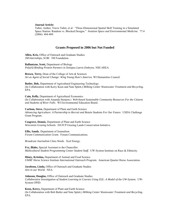## **Journal Article:**

Tubré, Amber, Travis Tubré, et al. "Three-Dimensional Spatial Skill Training in a Simulated Space Station: Random vs. Blocked Designs." *Aviation Space and Environmental Medicine.* 77:4 (2006): 404-409.

## **Grants Proposed in 2006 but Not Funded**

**Allen, Kris,** Office of Outreach and Graduate Studies *3M Internships, SCRI*. 3M Foundation.

**Ballantyne, Scott,** Department of Biology

*Poly(A) Binding Protein Partners in Xenopus Laevis Embryos.* NIH AREA.

**Brown, Terry,** Dean of the College of Arts & Sciences *Art as Agent of Social Change: Wing Young Huie's America.* WI Humanities Council.

**Butler, Bob,** Department of Agricultural Engineering Technology (In Collaboration with Kerry Keen and Nate Splett*.) Milking Center Wastewater Treatment and Recycling*. EPA.

**Cain, Kelly,** Department of Agricultural Economics (In Collaboration with Amanda Stenjem.) *Web-based Sustainable Community Resources For the Citizens and Students of River Falls.* WI Environmental Education Board.

**Carlson, Steve,** Department of Plant and Earth Science *Advancing Agriculture: A Partnership to Recruit and Retain Students For Our Future.* USDA Challenge Grant Program.

**Cosgrove, Dennis,** Department of Plant and Earth Science *Wisconsin Grazing Schools*. DATCP Grazing Lands Conservation Initiative.

**Ellis, Sandy**, Department of Journalism *Forum Communication Grant.* Forum Communications.

*Broadcast Journalism Class Needs.* Xcel Energy.

**Fry, Blake,** Special Assistant to the Chancellor *Multicultural Student Programming Center Student Staff*. UW-System Institute on Race & Ethnicity.

**Hiney, Kristina,** Department of Animal and Food Science *UWRF Horse Science Institute International Outreach Program.* American Quarter Horse Association.

**Jacobson, Linda,** Office of Outreach and Graduate Studies *Arts in our World.* NEA.

**Johnson, Douglas,** Office of Outreach and Graduate Studies *Collaborative Investigation of Student Learning in Courses Using D2L*: *A Model of the UW-System.* UW-System OPID.

**Keen, Kerry,** Department of Plant and Earth Science (In Collaboration with Bob Butler and Nate Splett.) *Milking Center Wastewater Treatment and Recycling.* EPA.